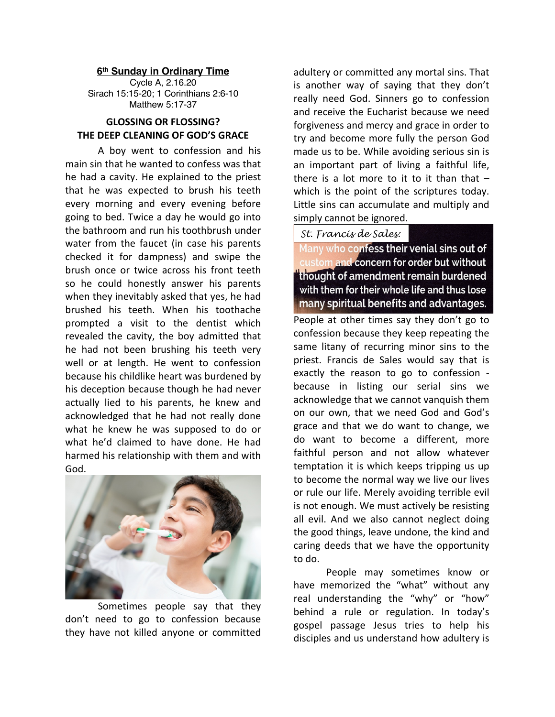## **6th Sunday in Ordinary Time**

Cycle A, 2.16.20 Sirach 15:15-20; 1 Corinthians 2:6-10 Matthew 5:17-37

## **GLOSSING OR FLOSSING? THE DEEP CLEANING OF GOD'S GRACE**

A boy went to confession and his main sin that he wanted to confess was that he had a cavity. He explained to the priest that he was expected to brush his teeth every morning and every evening before going to bed. Twice a day he would go into the bathroom and run his toothbrush under water from the faucet (in case his parents checked it for dampness) and swipe the brush once or twice across his front teeth so he could honestly answer his parents when they inevitably asked that yes, he had brushed his teeth. When his toothache prompted a visit to the dentist which revealed the cavity, the boy admitted that he had not been brushing his teeth very well or at length. He went to confession because his childlike heart was burdened by his deception because though he had never actually lied to his parents, he knew and acknowledged that he had not really done what he knew he was supposed to do or what he'd claimed to have done. He had harmed his relationship with them and with God.



Sometimes people say that they don't need to go to confession because they have not killed anyone or committed

adultery or committed any mortal sins. That is another way of saying that they don't really need God. Sinners go to confession and receive the Eucharist because we need forgiveness and mercy and grace in order to try and become more fully the person God made us to be. While avoiding serious sin is an important part of living a faithful life, there is a lot more to it to it than that  $$ which is the point of the scriptures today. Little sins can accumulate and multiply and simply cannot be ignored.

## *St. Francis de Sales:*

Many who confess their venial sins out of custom and concern for order but without thought of amendment remain burdened with them for their whole life and thus lose many spiritual benefits and advantages.

People at other times say they don't go to confession because they keep repeating the same litany of recurring minor sins to the priest. Francis de Sales would say that is exactly the reason to go to confession because in listing our serial sins we acknowledge that we cannot vanquish them on our own, that we need God and God's grace and that we do want to change, we do want to become a different, more faithful person and not allow whatever temptation it is which keeps tripping us up to become the normal way we live our lives or rule our life. Merely avoiding terrible evil is not enough. We must actively be resisting all evil. And we also cannot neglect doing the good things, leave undone, the kind and caring deeds that we have the opportunity to do.

People may sometimes know or have memorized the "what" without any real understanding the "why" or "how" behind a rule or regulation. In today's gospel passage Jesus tries to help his disciples and us understand how adultery is